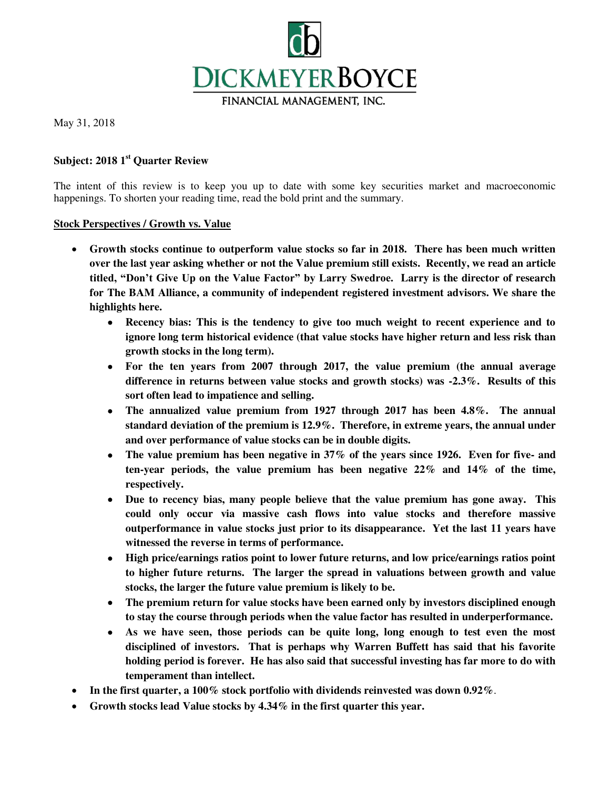

May 31, 2018

# **Subject: 2018 1st Quarter Review**

The intent of this review is to keep you up to date with some key securities market and macroeconomic happenings. To shorten your reading time, read the bold print and the summary.

#### **Stock Perspectives / Growth vs. Value**

- **Growth stocks continue to outperform value stocks so far in 2018. There has been much written over the last year asking whether or not the Value premium still exists. Recently, we read an article titled, "Don't Give Up on the Value Factor" by Larry Swedroe. Larry is the director of research for The BAM Alliance, a community of independent registered investment advisors. We share the highlights here.** 
	- **Recency bias: This is the tendency to give too much weight to recent experience and to ignore long term historical evidence (that value stocks have higher return and less risk than growth stocks in the long term).**
	- **For the ten years from 2007 through 2017, the value premium (the annual average difference in returns between value stocks and growth stocks) was -2.3%. Results of this sort often lead to impatience and selling.**
	- **The annualized value premium from 1927 through 2017 has been 4.8%. The annual standard deviation of the premium is 12.9%. Therefore, in extreme years, the annual under and over performance of value stocks can be in double digits.**
	- **The value premium has been negative in 37% of the years since 1926. Even for five- and ten-year periods, the value premium has been negative 22% and 14% of the time, respectively.**
	- **Due to recency bias, many people believe that the value premium has gone away. This could only occur via massive cash flows into value stocks and therefore massive outperformance in value stocks just prior to its disappearance. Yet the last 11 years have witnessed the reverse in terms of performance.**
	- **High price/earnings ratios point to lower future returns, and low price/earnings ratios point to higher future returns. The larger the spread in valuations between growth and value stocks, the larger the future value premium is likely to be.**
	- **The premium return for value stocks have been earned only by investors disciplined enough to stay the course through periods when the value factor has resulted in underperformance.**
	- **As we have seen, those periods can be quite long, long enough to test even the most disciplined of investors. That is perhaps why Warren Buffett has said that his favorite holding period is forever. He has also said that successful investing has far more to do with temperament than intellect.**
- **In the first quarter, a 100% stock portfolio with dividends reinvested was down 0.92%**.
- **Growth stocks lead Value stocks by 4.34% in the first quarter this year.**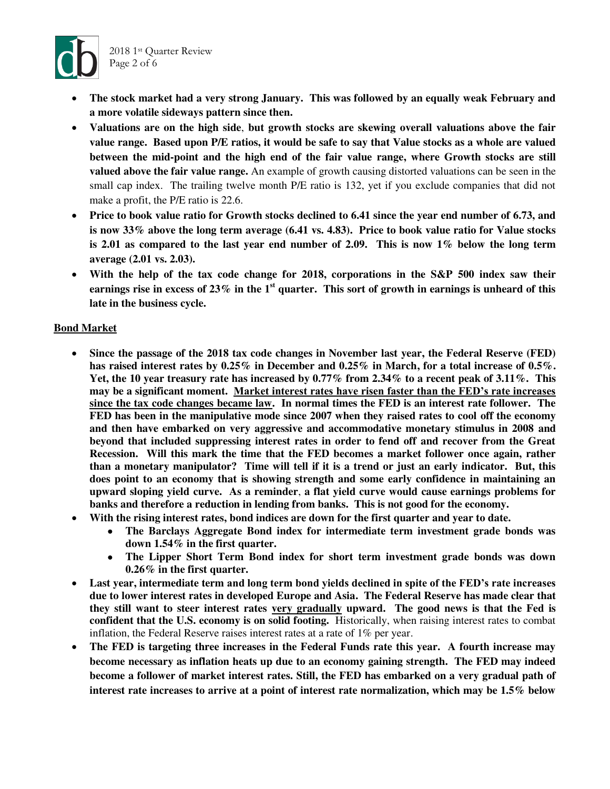

- **The stock market had a very strong January. This was followed by an equally weak February and a more volatile sideways pattern since then.**
- **Valuations are on the high side**, **but growth stocks are skewing overall valuations above the fair value range. Based upon P/E ratios, it would be safe to say that Value stocks as a whole are valued between the mid-point and the high end of the fair value range, where Growth stocks are still valued above the fair value range.** An example of growth causing distorted valuations can be seen in the small cap index. The trailing twelve month P/E ratio is 132, yet if you exclude companies that did not make a profit, the P/E ratio is 22.6.
- **Price to book value ratio for Growth stocks declined to 6.41 since the year end number of 6.73, and is now 33% above the long term average (6.41 vs. 4.83). Price to book value ratio for Value stocks is 2.01 as compared to the last year end number of 2.09. This is now 1% below the long term average (2.01 vs. 2.03).**
- **With the help of the tax code change for 2018, corporations in the S&P 500 index saw their earnings rise in excess of 23% in the 1st quarter. This sort of growth in earnings is unheard of this late in the business cycle.**

### **Bond Market**

- **Since the passage of the 2018 tax code changes in November last year, the Federal Reserve (FED) has raised interest rates by 0.25% in December and 0.25% in March, for a total increase of 0.5%. Yet, the 10 year treasury rate has increased by 0.77% from 2.34% to a recent peak of 3.11%. This may be a significant moment. Market interest rates have risen faster than the FED's rate increases since the tax code changes became law. In normal times the FED is an interest rate follower. The FED has been in the manipulative mode since 2007 when they raised rates to cool off the economy and then have embarked on very aggressive and accommodative monetary stimulus in 2008 and beyond that included suppressing interest rates in order to fend off and recover from the Great Recession. Will this mark the time that the FED becomes a market follower once again, rather than a monetary manipulator? Time will tell if it is a trend or just an early indicator. But, this does point to an economy that is showing strength and some early confidence in maintaining an upward sloping yield curve. As a reminder**, **a flat yield curve would cause earnings problems for banks and therefore a reduction in lending from banks. This is not good for the economy.**
- **With the rising interest rates, bond indices are down for the first quarter and year to date.** 
	- **The Barclays Aggregate Bond index for intermediate term investment grade bonds was down 1.54% in the first quarter.**
	- **The Lipper Short Term Bond index for short term investment grade bonds was down 0.26% in the first quarter.**
- **Last year, intermediate term and long term bond yields declined in spite of the FED's rate increases due to lower interest rates in developed Europe and Asia. The Federal Reserve has made clear that they still want to steer interest rates very gradually upward. The good news is that the Fed is confident that the U.S. economy is on solid footing.** Historically, when raising interest rates to combat inflation, the Federal Reserve raises interest rates at a rate of 1% per year.
- **The FED is targeting three increases in the Federal Funds rate this year. A fourth increase may become necessary as inflation heats up due to an economy gaining strength. The FED may indeed become a follower of market interest rates. Still, the FED has embarked on a very gradual path of interest rate increases to arrive at a point of interest rate normalization, which may be 1.5% below**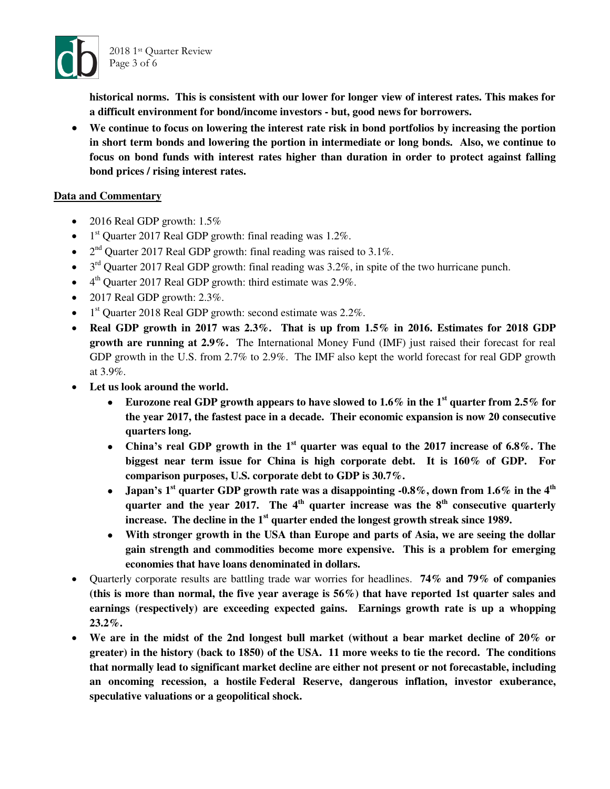

**historical norms. This is consistent with our lower for longer view of interest rates. This makes for a difficult environment for bond/income investors - but, good news for borrowers.** 

 **We continue to focus on lowering the interest rate risk in bond portfolios by increasing the portion in short term bonds and lowering the portion in intermediate or long bonds. Also, we continue to focus on bond funds with interest rates higher than duration in order to protect against falling bond prices / rising interest rates.** 

### **Data and Commentary**

- 2016 Real GDP growth:  $1.5\%$
- $\bullet$  1<sup>st</sup> Quarter 2017 Real GDP growth: final reading was 1.2%.
- $2<sup>nd</sup>$  Quarter 2017 Real GDP growth: final reading was raised to 3.1%.
- $\bullet$  3<sup>rd</sup> Quarter 2017 Real GDP growth: final reading was 3.2%, in spite of the two hurricane punch.
- $\bullet$  4<sup>th</sup> Quarter 2017 Real GDP growth: third estimate was 2.9%.
- $\bullet$  2017 Real GDP growth: 2.3%.
- $\bullet$  1<sup>st</sup> Quarter 2018 Real GDP growth: second estimate was 2.2%.
- **Real GDP growth in 2017 was 2.3%. That is up from 1.5% in 2016. Estimates for 2018 GDP growth are running at 2.9%.** The International Money Fund (IMF) just raised their forecast for real GDP growth in the U.S. from 2.7% to 2.9%. The IMF also kept the world forecast for real GDP growth at 3.9%.
- **Let us look around the world.** 
	- **Eurozone real GDP growth appears to have slowed to 1.6% in the 1st quarter from 2.5% for the year 2017, the fastest pace in a decade. Their economic expansion is now 20 consecutive quarters long.**
	- **China's real GDP growth in the 1st quarter was equal to the 2017 increase of 6.8%. The biggest near term issue for China is high corporate debt. It is 160% of GDP. For comparison purposes, U.S. corporate debt to GDP is 30.7%.**
	- **Japan's 1 st quarter GDP growth rate was a disappointing -0.8%, down from 1.6% in the 4th quarter and the year 2017. The 4th quarter increase was the 8th consecutive quarterly increase. The decline in the 1st quarter ended the longest growth streak since 1989.**
	- **With stronger growth in the USA than Europe and parts of Asia, we are seeing the dollar gain strength and commodities become more expensive. This is a problem for emerging economies that have loans denominated in dollars.**
- Quarterly corporate results are battling trade war worries for headlines. **74% and 79% of companies (this is more than normal, the five year average is 56%) that have reported 1st quarter sales and earnings (respectively) are exceeding expected gains. Earnings growth rate is up a whopping 23.2%.**
- **We are in the midst of the 2nd longest bull market (without a bear market decline of 20% or greater) in the history (back to 1850) of the USA. 11 more weeks to tie the record. The conditions that normally lead to significant market decline are either not present or not forecastable, including an oncoming recession, a hostile [Fede](https://www.cnbc.com/id/43752521)ral Reserve, dangerous inflation, investor exuberance, speculative valuations or a geopolitical shock.**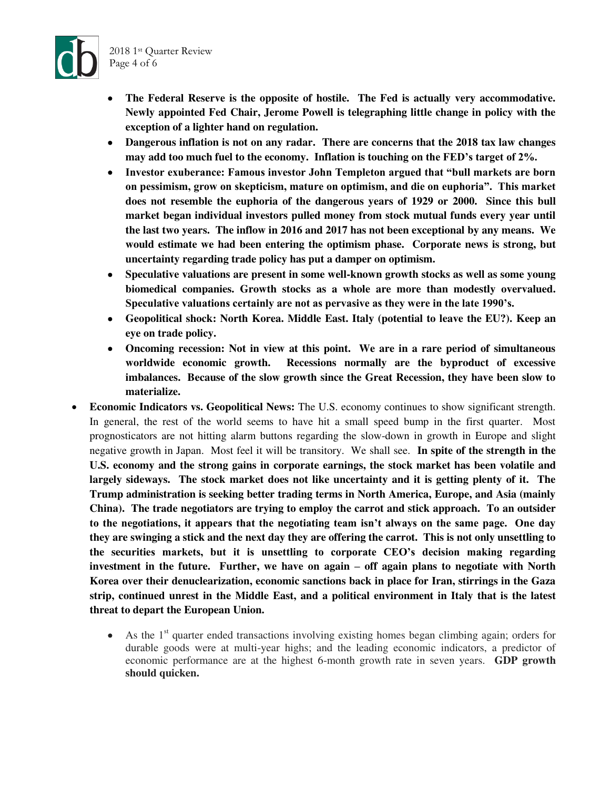

- **The Federal Reserve is the opposite of hostile. The Fed is actually very accommodative. Newly appointed Fed Chair, Jerome Powell is telegraphing little change in policy with the exception of a lighter hand on regulation.**
- **Dangerous inflation is not on any radar. There are concerns that the 2018 tax law changes may add too much fuel to the economy. Inflation is touching on the FED's target of 2%.**
- **Investor exuberance: Famous investor John Templeton argued that "bull markets are born on pessimism, grow on skepticism, mature on optimism, and die on euphoria". This market does not resemble the euphoria of the dangerous years of 1929 or 2000. Since this bull market began individual investors pulled money from stock mutual funds every year until the last two years. The inflow in 2016 and 2017 has not been exceptional by any means. We would estimate we had been entering the optimism phase. Corporate news is strong, but uncertainty regarding trade policy has put a damper on optimism.**
- **Speculative valuations are present in some well-known growth stocks as well as some young biomedical companies. Growth stocks as a whole are more than modestly overvalued. Speculative valuations certainly are not as pervasive as they were in the late 1990's.**
- **Geopolitical shock: North Korea. Middle East. Italy (potential to leave the EU?). Keep an eye on trade policy.**
- **Oncoming recession: Not in view at this point. We are in a rare period of simultaneous worldwide economic growth. Recessions normally are the byproduct of excessive imbalances. Because of the slow growth since the Great Recession, they have been slow to materialize.**
- **Economic Indicators vs. Geopolitical News:** The U.S. economy continues to show significant strength. In general, the rest of the world seems to have hit a small speed bump in the first quarter. Most prognosticators are not hitting alarm buttons regarding the slow-down in growth in Europe and slight negative growth in Japan. Most feel it will be transitory. We shall see. **In spite of the strength in the U.S. economy and the strong gains in corporate earnings, the stock market has been volatile and largely sideways. The stock market does not like uncertainty and it is getting plenty of it. The Trump administration is seeking better trading terms in North America, Europe, and Asia (mainly China). The trade negotiators are trying to employ the carrot and stick approach. To an outsider to the negotiations, it appears that the negotiating team isn't always on the same page. One day they are swinging a stick and the next day they are offering the carrot. This is not only unsettling to the securities markets, but it is unsettling to corporate CEO's decision making regarding investment in the future. Further, we have on again – off again plans to negotiate with North Korea over their denuclearization, economic sanctions back in place for Iran, stirrings in the Gaza strip, continued unrest in the Middle East, and a political environment in Italy that is the latest threat to depart the European Union.** 
	- $\bullet$  As the 1<sup>st</sup> quarter ended transactions involving existing homes began climbing again; orders for durable goods were at multi-year highs; and the leading economic indicators, a predictor of economic performance are at the highest 6-month growth rate in seven years. **GDP growth should quicken.**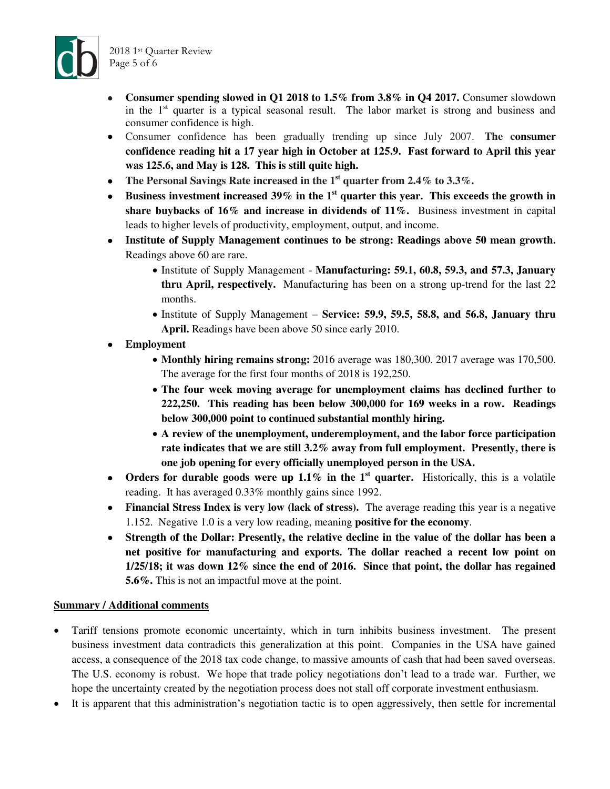



- **Consumer spending slowed in Q1 2018 to 1.5% from 3.8% in Q4 2017.** Consumer slowdown in the  $1<sup>st</sup>$  quarter is a typical seasonal result. The labor market is strong and business and consumer confidence is high.
- Consumer confidence has been gradually trending up since July 2007. **The consumer confidence reading hit a 17 year high in October at 125.9. Fast forward to April this year was 125.6, and May is 128. This is still quite high.**
- **The Personal Savings Rate increased in the 1st quarter from 2.4% to 3.3%.**
- **Business investment increased 39% in the 1st quarter this year. This exceeds the growth in share buybacks of 16% and increase in dividends of 11%.** Business investment in capital leads to higher levels of productivity, employment, output, and income.
- **Institute of Supply Management continues to be strong: Readings above 50 mean growth.** Readings above 60 are rare.
	- Institute of Supply Management **Manufacturing: 59.1, 60.8, 59.3, and 57.3, January thru April, respectively.** Manufacturing has been on a strong up-trend for the last 22 months.
	- Institute of Supply Management **Service: 59.9, 59.5, 58.8, and 56.8, January thru April.** Readings have been above 50 since early 2010.
- **Employment** 
	- **Monthly hiring remains strong:** 2016 average was 180,300. 2017 average was 170,500. The average for the first four months of 2018 is 192,250.
	- **The four week moving average for unemployment claims has declined further to 222,250. This reading has been below 300,000 for 169 weeks in a row. Readings below 300,000 point to continued substantial monthly hiring.**
	- **A review of the unemployment, underemployment, and the labor force participation rate indicates that we are still 3.2% away from full employment. Presently, there is one job opening for every officially unemployed person in the USA.**
- Orders for durable goods were up 1.1% in the 1<sup>st</sup> quarter. Historically, this is a volatile reading. It has averaged 0.33% monthly gains since 1992.
- **Financial Stress Index is very low (lack of stress).** The average reading this year is a negative 1.152. Negative 1.0 is a very low reading, meaning **positive for the economy**.
- **Strength of the Dollar: Presently, the relative decline in the value of the dollar has been a net positive for manufacturing and exports. The dollar reached a recent low point on 1/25/18; it was down 12% since the end of 2016. Since that point, the dollar has regained 5.6%.** This is not an impactful move at the point.

## **Summary / Additional comments**

- Tariff tensions promote economic uncertainty, which in turn inhibits business investment. The present business investment data contradicts this generalization at this point. Companies in the USA have gained access, a consequence of the 2018 tax code change, to massive amounts of cash that had been saved overseas. The U.S. economy is robust. We hope that trade policy negotiations don't lead to a trade war. Further, we hope the uncertainty created by the negotiation process does not stall off corporate investment enthusiasm.
- It is apparent that this administration's negotiation tactic is to open aggressively, then settle for incremental